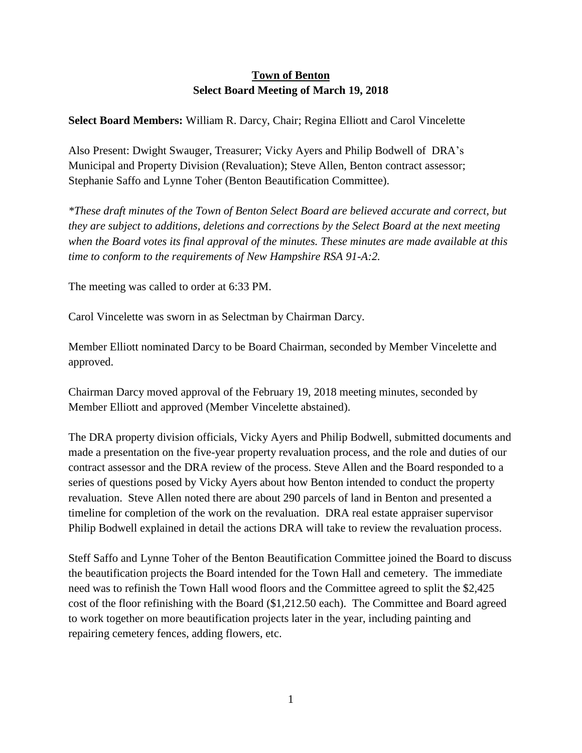## **Town of Benton Select Board Meeting of March 19, 2018**

**Select Board Members:** William R. Darcy, Chair; Regina Elliott and Carol Vincelette

Also Present: Dwight Swauger, Treasurer; Vicky Ayers and Philip Bodwell of DRA's Municipal and Property Division (Revaluation); Steve Allen, Benton contract assessor; Stephanie Saffo and Lynne Toher (Benton Beautification Committee).

*\*These draft minutes of the Town of Benton Select Board are believed accurate and correct, but they are subject to additions, deletions and corrections by the Select Board at the next meeting when the Board votes its final approval of the minutes. These minutes are made available at this time to conform to the requirements of New Hampshire RSA 91-A:2.*

The meeting was called to order at 6:33 PM.

Carol Vincelette was sworn in as Selectman by Chairman Darcy.

Member Elliott nominated Darcy to be Board Chairman, seconded by Member Vincelette and approved.

Chairman Darcy moved approval of the February 19, 2018 meeting minutes, seconded by Member Elliott and approved (Member Vincelette abstained).

The DRA property division officials, Vicky Ayers and Philip Bodwell, submitted documents and made a presentation on the five-year property revaluation process, and the role and duties of our contract assessor and the DRA review of the process. Steve Allen and the Board responded to a series of questions posed by Vicky Ayers about how Benton intended to conduct the property revaluation. Steve Allen noted there are about 290 parcels of land in Benton and presented a timeline for completion of the work on the revaluation. DRA real estate appraiser supervisor Philip Bodwell explained in detail the actions DRA will take to review the revaluation process.

Steff Saffo and Lynne Toher of the Benton Beautification Committee joined the Board to discuss the beautification projects the Board intended for the Town Hall and cemetery. The immediate need was to refinish the Town Hall wood floors and the Committee agreed to split the \$2,425 cost of the floor refinishing with the Board (\$1,212.50 each). The Committee and Board agreed to work together on more beautification projects later in the year, including painting and repairing cemetery fences, adding flowers, etc.